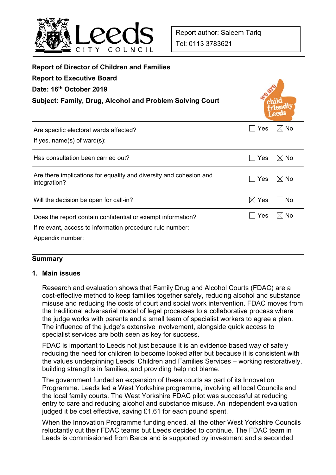

**Report of Director of Children and Families** 

| Report of Difector of Children and Families                                        |                 |                |  |
|------------------------------------------------------------------------------------|-----------------|----------------|--|
| <b>Report to Executive Board</b>                                                   |                 |                |  |
| Date: 16th October 2019                                                            |                 |                |  |
| <b>Subject: Family, Drug, Alcohol and Problem Solving Court</b>                    |                 |                |  |
| Are specific electoral wards affected?                                             | Yes             | $\boxtimes$ No |  |
| If yes, $name(s)$ of ward $(s)$ :                                                  |                 |                |  |
| Has consultation been carried out?                                                 | Yes             | $\boxtimes$ No |  |
| Are there implications for equality and diversity and cohesion and<br>integration? | Yes             | $\boxtimes$ No |  |
| Will the decision be open for call-in?                                             | $\boxtimes$ Yes | No             |  |
| Does the report contain confidential or exempt information?                        | Yes             | No             |  |

If relevant, access to information procedure rule number: Appendix number:

# **Summary**

## **1. Main issues**

Research and evaluation shows that Family Drug and Alcohol Courts (FDAC) are a cost-effective method to keep families together safely, reducing alcohol and substance misuse and reducing the costs of court and social work intervention. FDAC moves from the traditional adversarial model of legal processes to a collaborative process where the judge works with parents and a small team of specialist workers to agree a plan. The influence of the judge's extensive involvement, alongside quick access to specialist services are both seen as key for success.

FDAC is important to Leeds not just because it is an evidence based way of safely reducing the need for children to become looked after but because it is consistent with the values underpinning Leeds' Children and Families Services – working restoratively, building strengths in families, and providing help not blame.

The government funded an expansion of these courts as part of its Innovation Programme. Leeds led a West Yorkshire programme, involving all local Councils and the local family courts. The West Yorkshire FDAC pilot was successful at reducing entry to care and reducing alcohol and substance misuse. An independent evaluation judged it be cost effective, saving £1.61 for each pound spent.

When the Innovation Programme funding ended, all the other West Yorkshire Councils reluctantly cut their FDAC teams but Leeds decided to continue. The FDAC team in Leeds is commissioned from Barca and is supported by investment and a seconded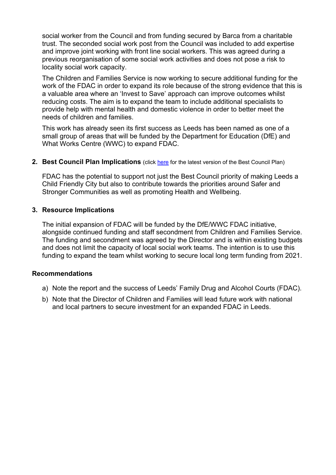social worker from the Council and from funding secured by Barca from a charitable trust. The seconded social work post from the Council was included to add expertise and improve joint working with front line social workers. This was agreed during a previous reorganisation of some social work activities and does not pose a risk to locality social work capacity.

The Children and Families Service is now working to secure additional funding for the work of the FDAC in order to expand its role because of the strong evidence that this is a valuable area where an 'Invest to Save' approach can improve outcomes whilst reducing costs. The aim is to expand the team to include additional specialists to provide help with mental health and domestic violence in order to better meet the needs of children and families.

This work has already seen its first success as Leeds has been named as one of a small group of areas that will be funded by the Department for Education (DfE) and What Works Centre (WWC) to expand FDAC.

**2. Best Council Plan Implications** (click here for the latest version of the Best Council Plan)

FDAC has the potential to support not just the Best Council priority of making Leeds a Child Friendly City but also to contribute towards the priorities around Safer and Stronger Communities as well as promoting Health and Wellbeing.

## **3. Resource Implications**

The initial expansion of FDAC will be funded by the DfE/WWC FDAC initiative, alongside continued funding and staff secondment from Children and Families Service. The funding and secondment was agreed by the Director and is within existing budgets and does not limit the capacity of local social work teams. The intention is to use this funding to expand the team whilst working to secure local long term funding from 2021.

## **Recommendations**

- a) Note the report and the success of Leeds' Family Drug and Alcohol Courts (FDAC).
- b) Note that the Director of Children and Families will lead future work with national and local partners to secure investment for an expanded FDAC in Leeds.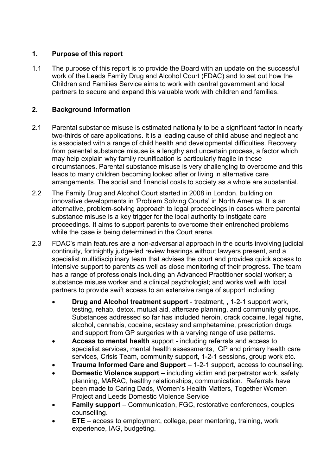## **1. Purpose of this report**

1.1 The purpose of this report is to provide the Board with an update on the successful work of the Leeds Family Drug and Alcohol Court (FDAC) and to set out how the Children and Families Service aims to work with central government and local partners to secure and expand this valuable work with children and families.

# **2. Background information**

- 2.1 Parental substance misuse is estimated nationally to be a significant factor in nearly two-thirds of care applications. It is a leading cause of child abuse and neglect and is associated with a range of child health and developmental difficulties. Recovery from parental substance misuse is a lengthy and uncertain process, a factor which may help explain why family reunification is particularly fragile in these circumstances. Parental substance misuse is very challenging to overcome and this leads to many children becoming looked after or living in alternative care arrangements. The social and financial costs to society as a whole are substantial.
- 2.2 The Family Drug and Alcohol Court started in 2008 in London, building on innovative developments in 'Problem Solving Courts' in North America. It is an alternative, problem-solving approach to legal proceedings in cases where parental substance misuse is a key trigger for the local authority to instigate care proceedings. It aims to support parents to overcome their entrenched problems while the case is being determined in the Court arena.
- 2.3 FDAC's main features are a non-adversarial approach in the courts involving judicial continuity, fortnightly judge-led review hearings without lawyers present, and a specialist multidisciplinary team that advises the court and provides quick access to intensive support to parents as well as close monitoring of their progress. The team has a range of professionals including an Advanced Practitioner social worker; a substance misuse worker and a clinical psychologist; and works well with local partners to provide swift access to an extensive range of support including:
	- **Drug and Alcohol treatment support** treatment, , 1-2-1 support work, testing, rehab, detox, mutual aid, aftercare planning, and community groups. Substances addressed so far has included heroin, crack cocaine, legal highs, alcohol, cannabis, cocaine, ecstasy and amphetamine, prescription drugs and support from GP surgeries with a varying range of use patterns.
	- **Access to mental health** support including referrals and access to specialist services, mental health assessments, GP and primary health care services, Crisis Team, community support, 1-2-1 sessions, group work etc.
	- **Trauma Informed Care and Support** 1-2-1 support, access to counselling.
	- **Domestic Violence support** including victim and perpetrator work, safety planning, MARAC, healthy relationships, communication. Referrals have been made to Caring Dads, Women's Health Matters, Together Women Project and Leeds Domestic Violence Service
	- **Family support** Communication, FGC, restorative conferences, couples counselling.
	- **ETE** access to employment, college, peer mentoring, training, work experience, IAG, budgeting.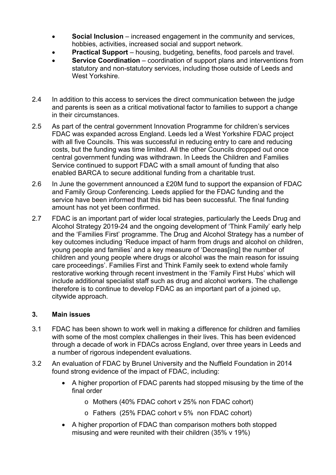- **Social Inclusion** increased engagement in the community and services, hobbies, activities, increased social and support network.
- **Practical Support** housing, budgeting, benefits, food parcels and travel.
- **Service Coordination** coordination of support plans and interventions from statutory and non-statutory services, including those outside of Leeds and West Yorkshire.
- 2.4 In addition to this access to services the direct communication between the judge and parents is seen as a critical motivational factor to families to support a change in their circumstances.
- 2.5 As part of the central government Innovation Programme for children's services FDAC was expanded across England. Leeds led a West Yorkshire FDAC project with all five Councils. This was successful in reducing entry to care and reducing costs, but the funding was time limited. All the other Councils dropped out once central government funding was withdrawn. In Leeds the Children and Families Service continued to support FDAC with a small amount of funding that also enabled BARCA to secure additional funding from a charitable trust.
- 2.6 In June the government announced a £20M fund to support the expansion of FDAC and Family Group Conferencing. Leeds applied for the FDAC funding and the service have been informed that this bid has been successful. The final funding amount has not yet been confirmed.
- 2.7 FDAC is an important part of wider local strategies, particularly the Leeds Drug and Alcohol Strategy 2019-24 and the ongoing development of 'Think Family' early help and the 'Families First' programme. The Drug and Alcohol Strategy has a number of key outcomes including 'Reduce impact of harm from drugs and alcohol on children, young people and families' and a key measure of 'Decreas[ing] the number of children and young people where drugs or alcohol was the main reason for issuing care proceedings'. Families First and Think Family seek to extend whole family restorative working through recent investment in the 'Family First Hubs' which will include additional specialist staff such as drug and alcohol workers. The challenge therefore is to continue to develop FDAC as an important part of a joined up, citywide approach.

## **3. Main issues**

- 3.1 FDAC has been shown to work well in making a difference for children and families with some of the most complex challenges in their lives. This has been evidenced through a decade of work in FDACs across England, over three years in Leeds and a number of rigorous independent evaluations.
- 3.2 An evaluation of FDAC by Brunel University and the Nuffield Foundation in 2014 found strong evidence of the impact of FDAC, including:
	- A higher proportion of FDAC parents had stopped misusing by the time of the final order
		- o Mothers (40% FDAC cohort v 25% non FDAC cohort)
		- o Fathers (25% FDAC cohort v 5% non FDAC cohort)
	- A higher proportion of FDAC than comparison mothers both stopped misusing and were reunited with their children (35% v 19%)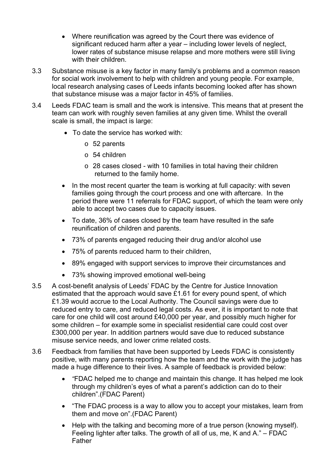- Where reunification was agreed by the Court there was evidence of significant reduced harm after a year – including lower levels of neglect, lower rates of substance misuse relapse and more mothers were still living with their children.
- 3.3 Substance misuse is a key factor in many family's problems and a common reason for social work involvement to help with children and young people. For example, local research analysing cases of Leeds infants becoming looked after has shown that substance misuse was a major factor in 45% of families.
- 3.4 Leeds FDAC team is small and the work is intensive. This means that at present the team can work with roughly seven families at any given time. Whilst the overall scale is small, the impact is large:
	- To date the service has worked with:
		- o 52 parents
		- o 54 children
		- o 28 cases closed with 10 families in total having their children returned to the family home.
	- In the most recent quarter the team is working at full capacity: with seven families going through the court process and one with aftercare. In the period there were 11 referrals for FDAC support, of which the team were only able to accept two cases due to capacity issues.
	- To date, 36% of cases closed by the team have resulted in the safe reunification of children and parents.
	- 73% of parents engaged reducing their drug and/or alcohol use
	- 75% of parents reduced harm to their children,
	- 89% engaged with support services to improve their circumstances and
	- 73% showing improved emotional well-being
- 3.5 A cost-benefit analysis of Leeds' FDAC by the Centre for Justice Innovation estimated that the approach would save £1.61 for every pound spent, of which £1.39 would accrue to the Local Authority. The Council savings were due to reduced entry to care, and reduced legal costs. As ever, it is important to note that care for one child will cost around £40,000 per year, and possibly much higher for some children – for example some in specialist residential care could cost over £300,000 per year. In addition partners would save due to reduced substance misuse service needs, and lower crime related costs.
- 3.6 Feedback from families that have been supported by Leeds FDAC is consistently positive, with many parents reporting how the team and the work with the judge has made a huge difference to their lives. A sample of feedback is provided below:
	- *"*FDAC helped me to change and maintain this change. It has helped me look through my children's eyes of what a parent's addiction can do to their children".(FDAC Parent)
	- "The FDAC process is a way to allow you to accept your mistakes, learn from them and move on".(FDAC Parent)
	- Help with the talking and becoming more of a true person (knowing myself). Feeling lighter after talks. The growth of all of us, me, K and A." – FDAC Father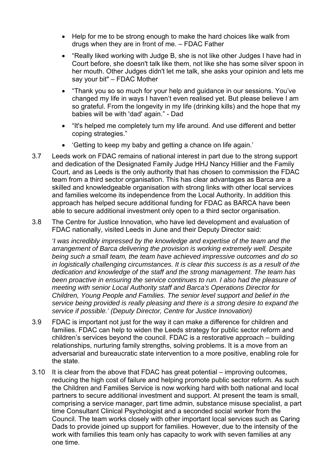- Help for me to be strong enough to make the hard choices like walk from drugs when they are in front of me. – FDAC Father
- "Really liked working with Judge B, she is not like other Judges I have had in Court before, she doesn't talk like them, not like she has some silver spoon in her mouth. Other Judges didn't let me talk, she asks your opinion and lets me say your bit" – FDAC Mother
- "Thank you so so much for your help and guidance in our sessions. You've changed my life in ways I haven't even realised yet. But please believe I am so grateful. From the longevity in my life (drinking kills) and the hope that my babies will be with 'dad' again." - Dad
- "It's helped me completely turn my life around. And use different and better coping strategies."
- 'Getting to keep my baby and getting a chance on life again.'
- 3.7 Leeds work on FDAC remains of national interest in part due to the strong support and dedication of the Designated Family Judge HHJ Nancy Hillier and the Family Court, and as Leeds is the only authority that has chosen to commission the FDAC team from a third sector organisation. This has clear advantages as Barca are a skilled and knowledgeable organisation with strong links with other local services and families welcome its independence from the Local Authority. In addition this approach has helped secure additional funding for FDAC as BARCA have been able to secure additional investment only open to a third sector organisation.
- 3.8 The Centre for Justice Innovation, who have led development and evaluation of FDAC nationally, visited Leeds in June and their Deputy Director said:

*'I was incredibly impressed by the knowledge and expertise of the team and the arrangement of Barca delivering the provision is working extremely well. Despite being such a small team, the team have achieved impressive outcomes and do so in logistically challenging circumstances. It is clear this success is as a result of the dedication and knowledge of the staff and the strong management. The team has been proactive in ensuring the service continues to run. I also had the pleasure of meeting with senior Local Authority staff and Barca's Operations Director for Children, Young People and Families. The senior level support and belief in the service being provided is really pleasing and there is a strong desire to expand the service if possible.' (Deputy Director, Centre for Justice Innovation)* 

- 3.9 FDAC is important not just for the way it can make a difference for children and families. FDAC can help to widen the Leeds strategy for public sector reform and children's services beyond the council. FDAC is a restorative approach – building relationships, nurturing family strengths, solving problems. It is a move from an adversarial and bureaucratic state intervention to a more positive, enabling role for the state.
- 3.10 It is clear from the above that FDAC has great potential improving outcomes, reducing the high cost of failure and helping promote public sector reform. As such the Children and Families Service is now working hard with both national and local partners to secure additional investment and support. At present the team is small, comprising a service manager, part time admin, substance misuse specialist, a part time Consultant Clinical Psychologist and a seconded social worker from the Council. The team works closely with other important local services such as Caring Dads to provide joined up support for families. However, due to the intensity of the work with families this team only has capacity to work with seven families at any one time.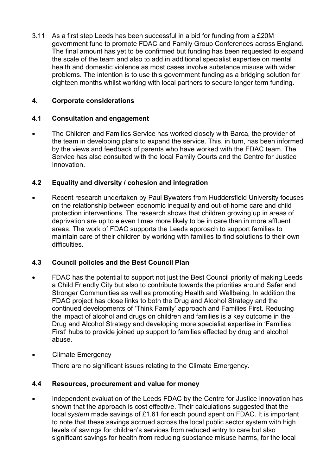3.11 As a first step Leeds has been successful in a bid for funding from a £20M government fund to promote FDAC and Family Group Conferences across England. The final amount has yet to be confirmed but funding has been requested to expand the scale of the team and also to add in additional specialist expertise on mental health and domestic violence as most cases involve substance misuse with wider problems. The intention is to use this government funding as a bridging solution for eighteen months whilst working with local partners to secure longer term funding.

## **4. Corporate considerations**

## **4.1 Consultation and engagement**

 The Children and Families Service has worked closely with Barca, the provider of the team in developing plans to expand the service. This, in turn, has been informed by the views and feedback of parents who have worked with the FDAC team. The Service has also consulted with the local Family Courts and the Centre for Justice Innovation.

# **4.2 Equality and diversity / cohesion and integration**

 Recent research undertaken by Paul Bywaters from Huddersfield University focuses on the relationship between economic inequality and out‐of‐home care and child protection interventions. The research shows that children growing up in areas of deprivation are up to eleven times more likely to be in care than in more affluent areas. The work of FDAC supports the Leeds approach to support families to maintain care of their children by working with families to find solutions to their own difficulties.

# **4.3 Council policies and the Best Council Plan**

- FDAC has the potential to support not just the Best Council priority of making Leeds a Child Friendly City but also to contribute towards the priorities around Safer and Stronger Communities as well as promoting Health and Wellbeing. In addition the FDAC project has close links to both the Drug and Alcohol Strategy and the continued developments of 'Think Family' approach and Families First. Reducing the impact of alcohol and drugs on children and families is a key outcome in the Drug and Alcohol Strategy and developing more specialist expertise in 'Families First' hubs to provide joined up support to families effected by drug and alcohol abuse.
- Climate Emergency

There are no significant issues relating to the Climate Emergency.

# **4.4 Resources, procurement and value for money**

 Independent evaluation of the Leeds FDAC by the Centre for Justice Innovation has shown that the approach is cost effective. Their calculations suggested that the local *system* made savings of £1.61 for each pound spent on FDAC. It is important to note that these savings accrued across the local public sector system with high levels of savings for children's services from reduced entry to care but also significant savings for health from reducing substance misuse harms, for the local